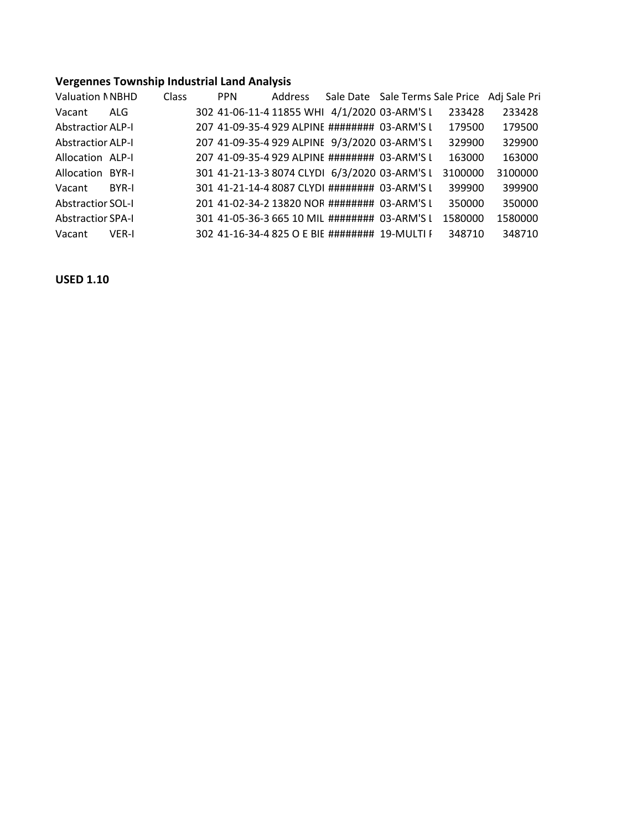## **Vergennes Township Industrial Land Analysis**

| <b>Valuation NNBHD</b>   |              | <b>Class</b> | <b>PPN</b> | Address | Sale Date Sale Terms Sale Price Adj Sale Pri   |         |         |
|--------------------------|--------------|--------------|------------|---------|------------------------------------------------|---------|---------|
| Vacant                   | ALG.         |              |            |         | 302 41-06-11-4 11855 WHI 4/1/2020 03-ARM'S L   | 233428  | 233428  |
| <b>Abstractior ALP-I</b> |              |              |            |         | 207 41-09-35-4 929 ALPINE ######## 03-ARM'S L  | 179500  | 179500  |
| <b>Abstractior ALP-I</b> |              |              |            |         | 207 41-09-35-4 929 ALPINE 9/3/2020 03-ARM'S L  | 329900  | 329900  |
| Allocation ALP-I         |              |              |            |         | 207 41-09-35-4 929 ALPINE ######## 03-ARM'S L  | 163000  | 163000  |
| Allocation BYR-I         |              |              |            |         | 301 41-21-13-3 8074 CLYDI 6/3/2020 03-ARM'S L  | 3100000 | 3100000 |
| Vacant                   | <b>BYR-I</b> |              |            |         | 301 41-21-14-4 8087 CLYDI ######## 03-ARM'S L  | 399900  | 399900  |
| <b>Abstractior SOL-I</b> |              |              |            |         | 201 41-02-34-2 13820 NOR ######## 03-ARM'S L   | 350000  | 350000  |
| <b>Abstractior SPA-I</b> |              |              |            |         | 301 41-05-36-3 665 10 MIL ######## 03-ARM'S L  | 1580000 | 1580000 |
| Vacant                   | VER-I        |              |            |         | 302 41-16-34-4 825 O E BIE ######## 19-MULTI F | 348710  | 348710  |

**USED 1.10**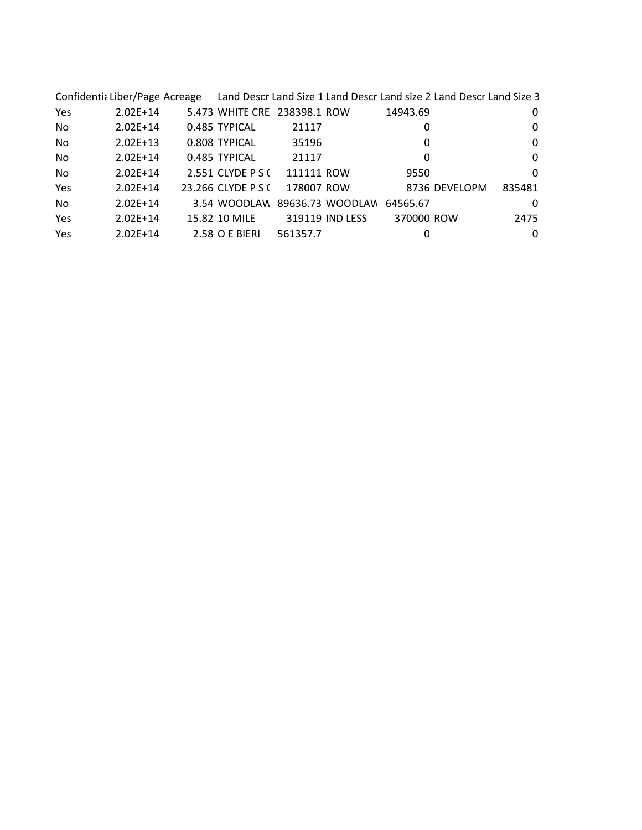|           |              |                                        |            |                 | Confidentia Liber/Page Acreage Land Descr Land Size 1 Land Descr Land size 2 Land Descr Land Size 3 |          |
|-----------|--------------|----------------------------------------|------------|-----------------|-----------------------------------------------------------------------------------------------------|----------|
| Yes       | $2.02E+14$   | 5.473 WHITE CRE 238398.1 ROW           |            |                 | 14943.69                                                                                            | 0        |
| No        | $2.02E+14$   | 0.485 TYPICAL                          | 21117      |                 | 0                                                                                                   | 0        |
| No        | $2.02E+13$   | 0.808 TYPICAL                          | 35196      |                 | 0                                                                                                   | 0        |
| No        | $2.02E+14$   | 0.485 TYPICAL                          | 21117      |                 | 0                                                                                                   | $\Omega$ |
| No        | $2.02E+14$   | 2.551 CLYDE P S (                      | 111111 ROW |                 | 9550                                                                                                | 0        |
| Yes       | $2.02E+14$   | 23.266 CLYDE P S (                     | 178007 ROW |                 | 8736 DEVELOPM                                                                                       | 835481   |
| <b>No</b> | $2.02E+14$   | 3.54 WOODLAW 89636.73 WOODLAW 64565.67 |            |                 |                                                                                                     | 0        |
| Yes       | $2.02E+14$   | 15.82 10 MILE                          |            | 319119 IND LESS | 370000 ROW                                                                                          | 2475     |
| Yes       | $2.02E + 14$ | 2.58 O E BIERI                         | 561357.7   |                 | 0                                                                                                   | $\Omega$ |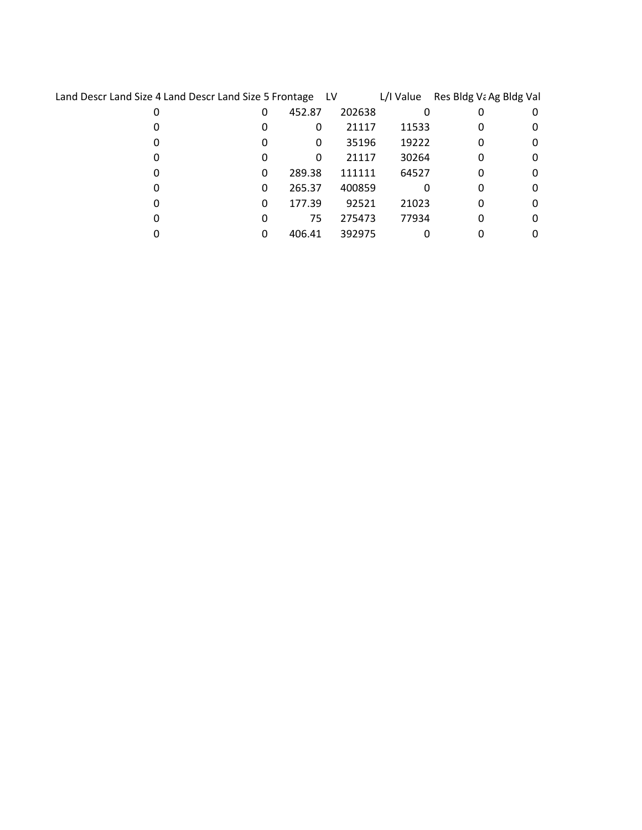| Land Descr Land Size 4 Land Descr Land Size 5 Frontage LV |   |        |        | L/I Value | Res Bldg Va Ag Bldg Val |   |
|-----------------------------------------------------------|---|--------|--------|-----------|-------------------------|---|
| 0                                                         | 0 | 452.87 | 202638 | 0         |                         | 0 |
|                                                           | 0 | 0      | 21117  | 11533     | 0                       | 0 |
|                                                           | 0 | 0      | 35196  | 19222     | 0                       | 0 |
|                                                           | 0 | 0      | 21117  | 30264     | 0                       | 0 |
|                                                           | 0 | 289.38 | 111111 | 64527     | 0                       |   |
|                                                           | 0 | 265.37 | 400859 |           | 0                       |   |
|                                                           | 0 | 177.39 | 92521  | 21023     | 0                       | 0 |
|                                                           | 0 | 75     | 275473 | 77934     | 0                       | 0 |
|                                                           |   | 406.41 | 392975 |           |                         |   |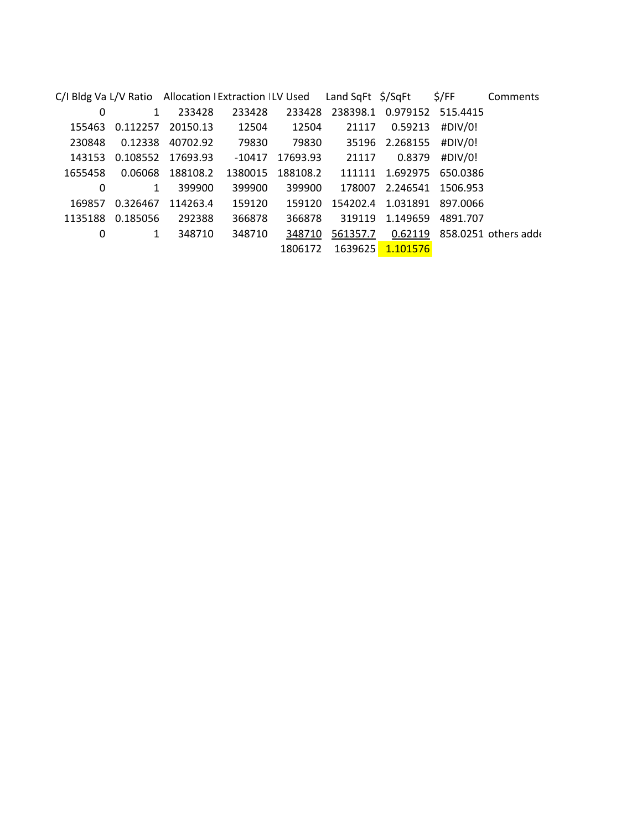|         |              | C/I Bldg Va L/V Ratio Allocation I Extraction I LV Used |         |          | Land SqFt \$/SqFt |                | \$/FF             | Comments            |
|---------|--------------|---------------------------------------------------------|---------|----------|-------------------|----------------|-------------------|---------------------|
| 0       | $\mathbf{1}$ | 233428                                                  | 233428  | 233428   | 238398.1          |                | 0.979152 515.4415 |                     |
| 155463  | 0.112257     | 20150.13                                                | 12504   | 12504    | 21117             | 0.59213        | #DIV/0!           |                     |
| 230848  | 0.12338      | 40702.92                                                | 79830   | 79830    |                   | 35196 2.268155 | #DIV/0!           |                     |
| 143153  | 0.108552     | 17693.93                                                | -10417  | 17693.93 | 21117             | 0.8379         | #DIV/0!           |                     |
| 1655458 | 0.06068      | 188108.2                                                | 1380015 | 188108.2 | 111111            | 1.692975       | 650.0386          |                     |
| 0       | $\mathbf{1}$ | 399900                                                  | 399900  | 399900   | 178007            | 2.246541       | 1506.953          |                     |
| 169857  | 0.326467     | 114263.4                                                | 159120  | 159120   | 154202.4          | 1.031891       | 897.0066          |                     |
| 1135188 | 0.185056     | 292388                                                  | 366878  | 366878   | 319119            | 1.149659       | 4891.707          |                     |
| 0       | 1            | 348710                                                  | 348710  | 348710   | 561357.7          | 0.62119        |                   | 858.0251 others add |
|         |              |                                                         |         | 1806172  | 1639625           | 1.101576       |                   |                     |